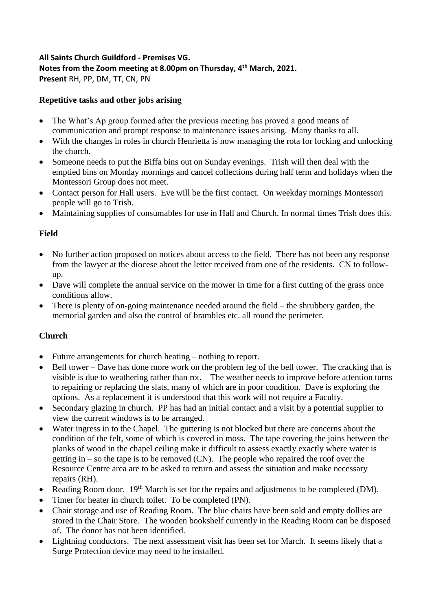#### **All Saints Church Guildford - Premises VG. Notes from the Zoom meeting at 8.00pm on Thursday, 4th March, 2021. Present** RH, PP, DM, TT, CN, PN

#### **Repetitive tasks and other jobs arising**

- The What's Ap group formed after the previous meeting has proved a good means of communication and prompt response to maintenance issues arising. Many thanks to all.
- With the changes in roles in church Henrietta is now managing the rota for locking and unlocking the church.
- Someone needs to put the Biffa bins out on Sunday evenings. Trish will then deal with the emptied bins on Monday mornings and cancel collections during half term and holidays when the Montessori Group does not meet.
- Contact person for Hall users. Eve will be the first contact. On weekday mornings Montessori people will go to Trish.
- Maintaining supplies of consumables for use in Hall and Church. In normal times Trish does this.

## **Field**

- No further action proposed on notices about access to the field. There has not been any response from the lawyer at the diocese about the letter received from one of the residents. CN to followup.
- Dave will complete the annual service on the mower in time for a first cutting of the grass once conditions allow.
- There is plenty of on-going maintenance needed around the field the shrubbery garden, the memorial garden and also the control of brambles etc. all round the perimeter.

## **Church**

- Future arrangements for church heating nothing to report.
- Bell tower Dave has done more work on the problem leg of the bell tower. The cracking that is visible is due to weathering rather than rot. The weather needs to improve before attention turns to repairing or replacing the slats, many of which are in poor condition. Dave is exploring the options. As a replacement it is understood that this work will not require a Faculty.
- Secondary glazing in church. PP has had an initial contact and a visit by a potential supplier to view the current windows is to be arranged.
- Water ingress in to the Chapel. The guttering is not blocked but there are concerns about the condition of the felt, some of which is covered in moss. The tape covering the joins between the planks of wood in the chapel ceiling make it difficult to assess exactly exactly where water is getting in – so the tape is to be removed (CN). The people who repaired the roof over the Resource Centre area are to be asked to return and assess the situation and make necessary repairs (RH).
- Reading Room door.  $19<sup>th</sup>$  March is set for the repairs and adjustments to be completed (DM).
- Timer for heater in church toilet. To be completed (PN).
- Chair storage and use of Reading Room. The blue chairs have been sold and empty dollies are stored in the Chair Store. The wooden bookshelf currently in the Reading Room can be disposed of. The donor has not been identified.
- Lightning conductors. The next assessment visit has been set for March. It seems likely that a Surge Protection device may need to be installed.